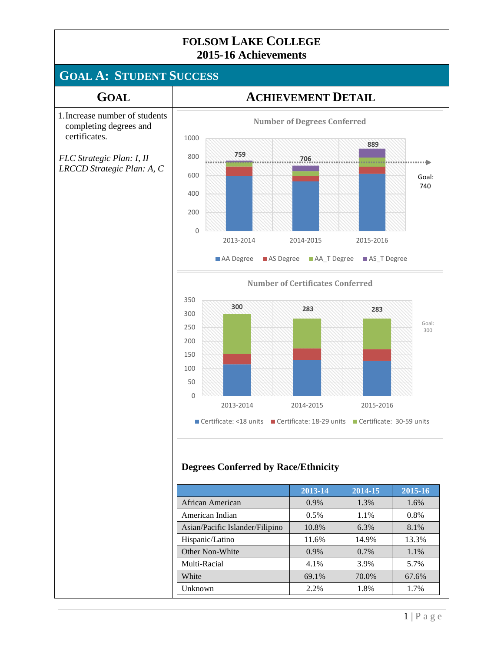# **GOAL A: STUDENT SUCCESS**

certificates.

#### **GOAL ACHIEVEMENT DETAIL**



#### **Degrees Conferred by Race/Ethnicity**

|                                 | 2013-14 | 2014-15 | 2015-16 |
|---------------------------------|---------|---------|---------|
| African American                | $0.9\%$ | 1.3%    | 1.6%    |
| American Indian                 | 0.5%    | 1.1%    | 0.8%    |
| Asian/Pacific Islander/Filipino | 10.8%   | 6.3%    | 8.1%    |
| Hispanic/Latino                 | 11.6%   | 14.9%   | 13.3%   |
| Other Non-White                 | $0.9\%$ | 0.7%    | 1.1%    |
| Multi-Racial                    | 4.1%    | 3.9%    | 5.7%    |
| White                           | 69.1%   | 70.0%   | 67.6%   |
| Unknown                         | 2.2%    | 1.8%    | 1.7%    |

Goal: 740

 $\cdots$ 

Goal: 300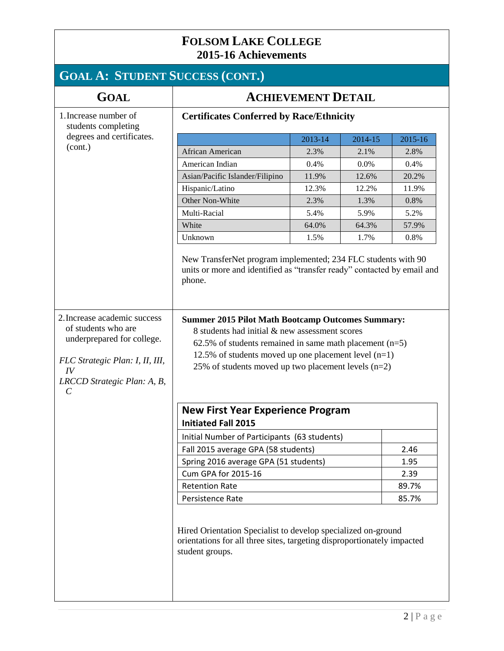# **GOAL A: STUDENT SUCCESS (CONT.)**

| <b>GOAL</b>                                                                                                                                                                        | <b>ACHIEVEMENT DETAIL</b>                                                                                                                                                                                                                                                                  |         |         |         |
|------------------------------------------------------------------------------------------------------------------------------------------------------------------------------------|--------------------------------------------------------------------------------------------------------------------------------------------------------------------------------------------------------------------------------------------------------------------------------------------|---------|---------|---------|
| 1. Increase number of<br>students completing                                                                                                                                       | <b>Certificates Conferred by Race/Ethnicity</b>                                                                                                                                                                                                                                            |         |         |         |
| degrees and certificates.                                                                                                                                                          |                                                                                                                                                                                                                                                                                            | 2013-14 | 2014-15 | 2015-16 |
| (cont.)                                                                                                                                                                            | African American                                                                                                                                                                                                                                                                           | 2.3%    | 2.1%    | 2.8%    |
|                                                                                                                                                                                    | American Indian                                                                                                                                                                                                                                                                            | 0.4%    | 0.0%    | 0.4%    |
|                                                                                                                                                                                    | Asian/Pacific Islander/Filipino                                                                                                                                                                                                                                                            | 11.9%   | 12.6%   | 20.2%   |
|                                                                                                                                                                                    | Hispanic/Latino                                                                                                                                                                                                                                                                            | 12.3%   | 12.2%   | 11.9%   |
|                                                                                                                                                                                    | Other Non-White                                                                                                                                                                                                                                                                            | 2.3%    | 1.3%    | 0.8%    |
|                                                                                                                                                                                    | Multi-Racial                                                                                                                                                                                                                                                                               | 5.4%    | 5.9%    | 5.2%    |
|                                                                                                                                                                                    | White                                                                                                                                                                                                                                                                                      | 64.0%   | 64.3%   | 57.9%   |
|                                                                                                                                                                                    | Unknown                                                                                                                                                                                                                                                                                    | 1.5%    | 1.7%    | 0.8%    |
|                                                                                                                                                                                    | New TransferNet program implemented; 234 FLC students with 90<br>units or more and identified as "transfer ready" contacted by email and<br>phone.                                                                                                                                         |         |         |         |
| 2. Increase academic success<br>of students who are<br>underprepared for college.<br>FLC Strategic Plan: I, II, III,<br>IV<br>LRCCD Strategic Plan: A, B,<br>$\mathcal{C}_{0}^{0}$ | <b>Summer 2015 Pilot Math Bootcamp Outcomes Summary:</b><br>8 students had initial & new assessment scores<br>62.5% of students remained in same math placement $(n=5)$<br>12.5% of students moved up one placement level $(n=1)$<br>25% of students moved up two placement levels $(n=2)$ |         |         |         |
|                                                                                                                                                                                    | <b>New First Year Experience Program</b><br><b>Initiated Fall 2015</b>                                                                                                                                                                                                                     |         |         |         |
|                                                                                                                                                                                    | Initial Number of Participants (63 students)                                                                                                                                                                                                                                               |         |         |         |
|                                                                                                                                                                                    | Fall 2015 average GPA (58 students)                                                                                                                                                                                                                                                        |         |         | 2.46    |
|                                                                                                                                                                                    | Spring 2016 average GPA (51 students)                                                                                                                                                                                                                                                      |         |         | 1.95    |
|                                                                                                                                                                                    | Cum GPA for 2015-16                                                                                                                                                                                                                                                                        |         |         | 2.39    |
|                                                                                                                                                                                    | <b>Retention Rate</b>                                                                                                                                                                                                                                                                      |         |         | 89.7%   |
|                                                                                                                                                                                    | Persistence Rate                                                                                                                                                                                                                                                                           |         | 85.7%   |         |
|                                                                                                                                                                                    | Hired Orientation Specialist to develop specialized on-ground<br>orientations for all three sites, targeting disproportionately impacted<br>student groups.                                                                                                                                |         |         |         |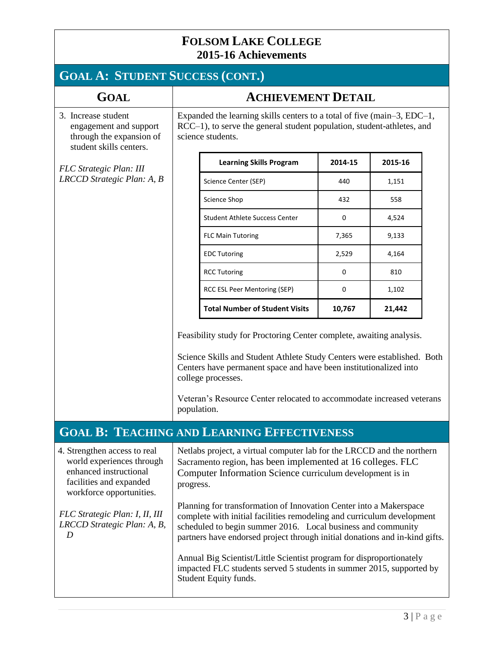# **GOAL A: STUDENT SUCCESS (CONT.)**

| <b>GOAL</b>                                                                                          | <b>ACHIEVEMENT DETAIL</b>                                                                                                                                              |                                       |             |         |
|------------------------------------------------------------------------------------------------------|------------------------------------------------------------------------------------------------------------------------------------------------------------------------|---------------------------------------|-------------|---------|
| 3. Increase student<br>engagement and support<br>through the expansion of<br>student skills centers. | Expanded the learning skills centers to a total of five (main-3, EDC-1,<br>RCC-1), to serve the general student population, student-athletes, and<br>science students. |                                       |             |         |
| <b>FLC</b> Strategic Plan: III<br>LRCCD Strategic Plan: A, B                                         |                                                                                                                                                                        | <b>Learning Skills Program</b>        | 2014-15     | 2015-16 |
|                                                                                                      |                                                                                                                                                                        | Science Center (SEP)                  | 440         | 1,151   |
|                                                                                                      |                                                                                                                                                                        | Science Shop                          | 432         | 558     |
|                                                                                                      |                                                                                                                                                                        | <b>Student Athlete Success Center</b> | $\Omega$    | 4,524   |
|                                                                                                      |                                                                                                                                                                        | <b>FLC Main Tutoring</b>              | 7,365       | 9,133   |
|                                                                                                      |                                                                                                                                                                        | <b>EDC Tutoring</b>                   | 2,529       | 4,164   |
|                                                                                                      |                                                                                                                                                                        | <b>RCC Tutoring</b>                   | $\Omega$    | 810     |
|                                                                                                      |                                                                                                                                                                        | RCC ESL Peer Mentoring (SEP)          | $\mathbf 0$ | 1,102   |
|                                                                                                      |                                                                                                                                                                        | <b>Total Number of Student Visits</b> | 10,767      | 21,442  |

Feasibility study for Proctoring Center complete, awaiting analysis.

Science Skills and Student Athlete Study Centers were established. Both Centers have permanent space and have been institutionalized into college processes.

Veteran's Resource Center relocated to accommodate increased veterans population.

#### **GOAL B: TEACHING AND LEARNING EFFECTIVENESS**

| 4. Strengthen access to real<br>world experiences through<br>enhanced instructional<br>facilities and expanded<br>workforce opportunities. | Netlabs project, a virtual computer lab for the LRCCD and the northern<br>Sacramento region, has been implemented at 16 colleges. FLC<br>Computer Information Science curriculum development is in<br>progress.                                                                                                                                                                                                                                                      |
|--------------------------------------------------------------------------------------------------------------------------------------------|----------------------------------------------------------------------------------------------------------------------------------------------------------------------------------------------------------------------------------------------------------------------------------------------------------------------------------------------------------------------------------------------------------------------------------------------------------------------|
| FLC Strategic Plan: I, II, III<br>LRCCD Strategic Plan: A, B,<br>D                                                                         | Planning for transformation of Innovation Center into a Makerspace<br>complete with initial facilities remodeling and curriculum development<br>scheduled to begin summer 2016. Local business and community<br>partners have endorsed project through initial donations and in-kind gifts.<br>Annual Big Scientist/Little Scientist program for disproportionately<br>impacted FLC students served 5 students in summer 2015, supported by<br>Student Equity funds. |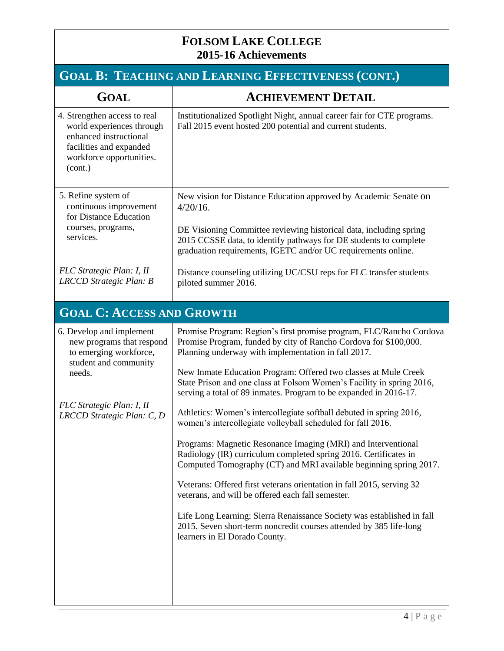| <b>GOAL B: TEACHING AND LEARNING EFFECTIVENESS (CONT.)</b>                                                                                                                    |                                                                                                                                                                                                                                                                                                                                                                                                                                                                                                                                                                                                                                                                                                                                                                                                                                                                                                                                                                                                                                                                                |  |  |
|-------------------------------------------------------------------------------------------------------------------------------------------------------------------------------|--------------------------------------------------------------------------------------------------------------------------------------------------------------------------------------------------------------------------------------------------------------------------------------------------------------------------------------------------------------------------------------------------------------------------------------------------------------------------------------------------------------------------------------------------------------------------------------------------------------------------------------------------------------------------------------------------------------------------------------------------------------------------------------------------------------------------------------------------------------------------------------------------------------------------------------------------------------------------------------------------------------------------------------------------------------------------------|--|--|
| <b>GOAL</b>                                                                                                                                                                   | <b>ACHIEVEMENT DETAIL</b>                                                                                                                                                                                                                                                                                                                                                                                                                                                                                                                                                                                                                                                                                                                                                                                                                                                                                                                                                                                                                                                      |  |  |
| 4. Strengthen access to real<br>world experiences through<br>enhanced instructional<br>facilities and expanded<br>workforce opportunities.<br>(cont.)                         | Institutionalized Spotlight Night, annual career fair for CTE programs.<br>Fall 2015 event hosted 200 potential and current students.                                                                                                                                                                                                                                                                                                                                                                                                                                                                                                                                                                                                                                                                                                                                                                                                                                                                                                                                          |  |  |
| 5. Refine system of<br>continuous improvement<br>for Distance Education<br>courses, programs,<br>services.                                                                    | New vision for Distance Education approved by Academic Senate on<br>$4/20/16$ .<br>DE Visioning Committee reviewing historical data, including spring<br>2015 CCSSE data, to identify pathways for DE students to complete<br>graduation requirements, IGETC and/or UC requirements online.                                                                                                                                                                                                                                                                                                                                                                                                                                                                                                                                                                                                                                                                                                                                                                                    |  |  |
| FLC Strategic Plan: I, II<br>LRCCD Strategic Plan: B                                                                                                                          | Distance counseling utilizing UC/CSU reps for FLC transfer students<br>piloted summer 2016.                                                                                                                                                                                                                                                                                                                                                                                                                                                                                                                                                                                                                                                                                                                                                                                                                                                                                                                                                                                    |  |  |
| <b>GOAL C: ACCESS AND GROWTH</b>                                                                                                                                              |                                                                                                                                                                                                                                                                                                                                                                                                                                                                                                                                                                                                                                                                                                                                                                                                                                                                                                                                                                                                                                                                                |  |  |
| 6. Develop and implement<br>new programs that respond<br>to emerging workforce,<br>student and community<br>needs.<br>FLC Strategic Plan: I, II<br>LRCCD Strategic Plan: C, D | Promise Program: Region's first promise program, FLC/Rancho Cordova<br>Promise Program, funded by city of Rancho Cordova for \$100,000.<br>Planning underway with implementation in fall 2017.<br>New Inmate Education Program: Offered two classes at Mule Creek<br>State Prison and one class at Folsom Women's Facility in spring 2016,<br>serving a total of 89 inmates. Program to be expanded in 2016-17.<br>Athletics: Women's intercollegiate softball debuted in spring 2016,<br>women's intercollegiate volleyball scheduled for fall 2016.<br>Programs: Magnetic Resonance Imaging (MRI) and Interventional<br>Radiology (IR) curriculum completed spring 2016. Certificates in<br>Computed Tomography (CT) and MRI available beginning spring 2017.<br>Veterans: Offered first veterans orientation in fall 2015, serving 32<br>veterans, and will be offered each fall semester.<br>Life Long Learning: Sierra Renaissance Society was established in fall<br>2015. Seven short-term noncredit courses attended by 385 life-long<br>learners in El Dorado County. |  |  |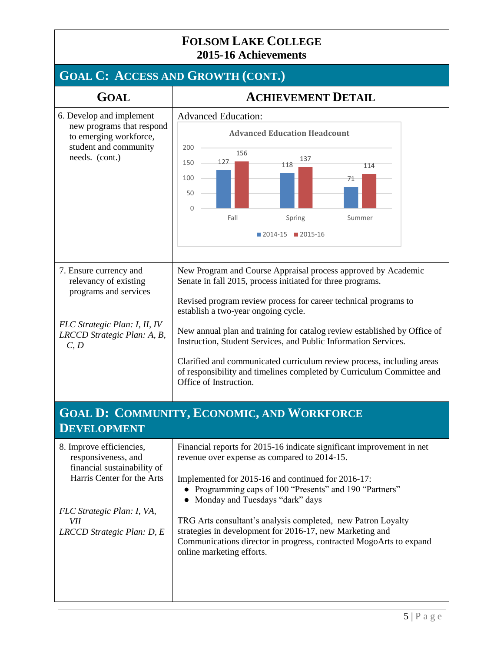#### **FOLSOM LAKE COLLEGE 2015-16 Achievements GOAL C: ACCESS AND GROWTH (CONT.) GOAL ACHIEVEMENT DETAIL** 6. Develop and implement new programs that respond to emerging workforce, student and community needs. (cont.) Advanced Education: 7. Ensure currency and relevancy of existing programs and services *FLC Strategic Plan: I, II, IV LRCCD Strategic Plan: A, B, C, D* New Program and Course Appraisal process approved by Academic Senate in fall 2015, process initiated for three programs. Revised program review process for career technical programs to establish a two-year ongoing cycle. New annual plan and training for catalog review established by Office of Instruction, Student Services, and Public Information Services. Clarified and communicated curriculum review process, including areas of responsibility and timelines completed by Curriculum Committee and Office of Instruction. **GOAL D: COMMUNITY, ECONOMIC, AND WORKFORCE DEVELOPMENT** 8. Improve efficiencies, responsiveness, and financial sustainability of Harris Center for the Arts *FLC Strategic Plan: I, VA, VII LRCCD Strategic Plan: D, E* Financial reports for 2015-16 indicate significant improvement in net revenue over expense as compared to 2014-15. Implemented for 2015-16 and continued for 2016-17: ● Programming caps of 100 "Presents" and 190 "Partners" • Monday and Tuesdays "dark" days TRG Arts consultant's analysis completed, new Patron Loyalty strategies in development for 2016-17, new Marketing and Communications director in progress, contracted MogoArts to expand online marketing efforts. 127 118 71 156 137 114 0 50 100 150 200 Fall Spring Summer **Advanced Education Headcount** 2014-15 2015-16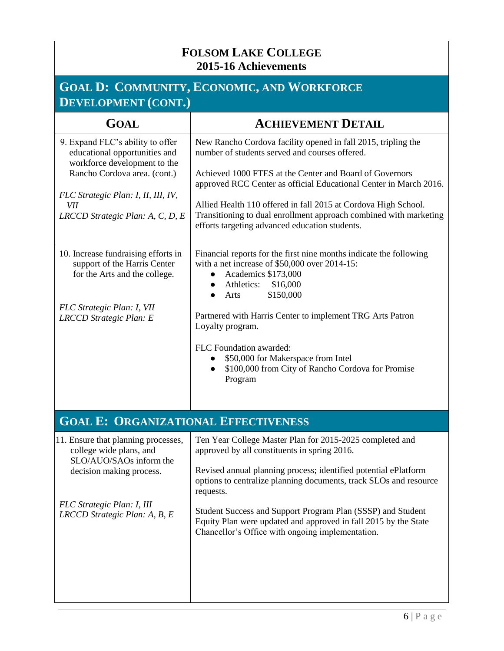## **GOAL D: COMMUNITY, ECONOMIC, AND WORKFORCE DEVELOPMENT (CONT.)**

| <b>GOAL</b>                                                                                                                                                                                                         | <b>ACHIEVEMENT DETAIL</b>                                                                                                                                                                                                                                                                                                                                                                                                                                     |  |  |
|---------------------------------------------------------------------------------------------------------------------------------------------------------------------------------------------------------------------|---------------------------------------------------------------------------------------------------------------------------------------------------------------------------------------------------------------------------------------------------------------------------------------------------------------------------------------------------------------------------------------------------------------------------------------------------------------|--|--|
| 9. Expand FLC's ability to offer<br>educational opportunities and<br>workforce development to the<br>Rancho Cordova area. (cont.)<br>FLC Strategic Plan: I, II, III, IV,<br>VІІ<br>LRCCD Strategic Plan: A, C, D, E | New Rancho Cordova facility opened in fall 2015, tripling the<br>number of students served and courses offered.<br>Achieved 1000 FTES at the Center and Board of Governors<br>approved RCC Center as official Educational Center in March 2016.<br>Allied Health 110 offered in fall 2015 at Cordova High School.<br>Transitioning to dual enrollment approach combined with marketing<br>efforts targeting advanced education students.                      |  |  |
| 10. Increase fundraising efforts in<br>support of the Harris Center<br>for the Arts and the college.<br>FLC Strategic Plan: I, VII<br>LRCCD Strategic Plan: E                                                       | Financial reports for the first nine months indicate the following<br>with a net increase of $$50,000$ over 2014-15:<br>Academics \$173,000<br>$\bullet$<br>Athletics: \$16,000<br>$\bullet$<br>\$150,000<br>Arts<br>$\bullet$<br>Partnered with Harris Center to implement TRG Arts Patron<br>Loyalty program.<br>FLC Foundation awarded:<br>\$50,000 for Makerspace from Intel<br>\$100,000 from City of Rancho Cordova for Promise<br>$\bullet$<br>Program |  |  |
| <b>GOAL E: ORGANIZATIONAL EFFECTIVENESS</b>                                                                                                                                                                         |                                                                                                                                                                                                                                                                                                                                                                                                                                                               |  |  |
| 11. Ensure that planning processes,<br>college wide plans, and<br>SLO/AUO/SAOs inform the<br>decision making process.<br>FLC Strategic Plan: I, III<br>LRCCD Strategic Plan: A, B, E                                | Ten Year College Master Plan for 2015-2025 completed and<br>approved by all constituents in spring 2016.<br>Revised annual planning process; identified potential ePlatform<br>options to centralize planning documents, track SLOs and resource<br>requests.<br>Student Success and Support Program Plan (SSSP) and Student<br>Equity Plan were updated and approved in fall 2015 by the State<br>Chancellor's Office with ongoing implementation.           |  |  |